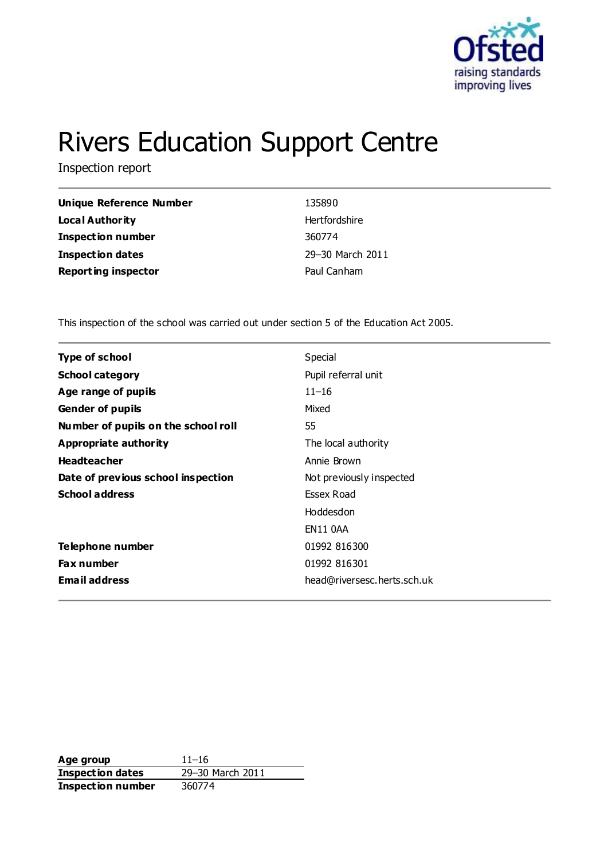

# Rivers Education Support Centre

Inspection report

| <b>Unique Reference Number</b> | 135890           |
|--------------------------------|------------------|
| Local Authority                | Hertfordshire    |
| <b>Inspection number</b>       | 360774           |
| <b>Inspection dates</b>        | 29-30 March 2011 |
| <b>Reporting inspector</b>     | Paul Canham      |

This inspection of the school was carried out under section 5 of the Education Act 2005.

| <b>Type of school</b>               | Special                     |
|-------------------------------------|-----------------------------|
| <b>School category</b>              | Pupil referral unit         |
| Age range of pupils                 | $11 - 16$                   |
| <b>Gender of pupils</b>             | Mixed                       |
| Number of pupils on the school roll | 55                          |
| Appropriate authority               | The local authority         |
| <b>Headteacher</b>                  | Annie Brown                 |
| Date of previous school inspection  | Not previously inspected    |
| <b>School address</b>               | Essex Road                  |
|                                     | Hoddesdon                   |
|                                     | EN11 0AA                    |
| Telephone number                    | 01992 816300                |
| <b>Fax number</b>                   | 01992 816301                |
| <b>Email address</b>                | head@riversesc.herts.sch.uk |

**Age group** 11–16 **Inspection dates** 29–30 March 2011 **Inspection number** 360774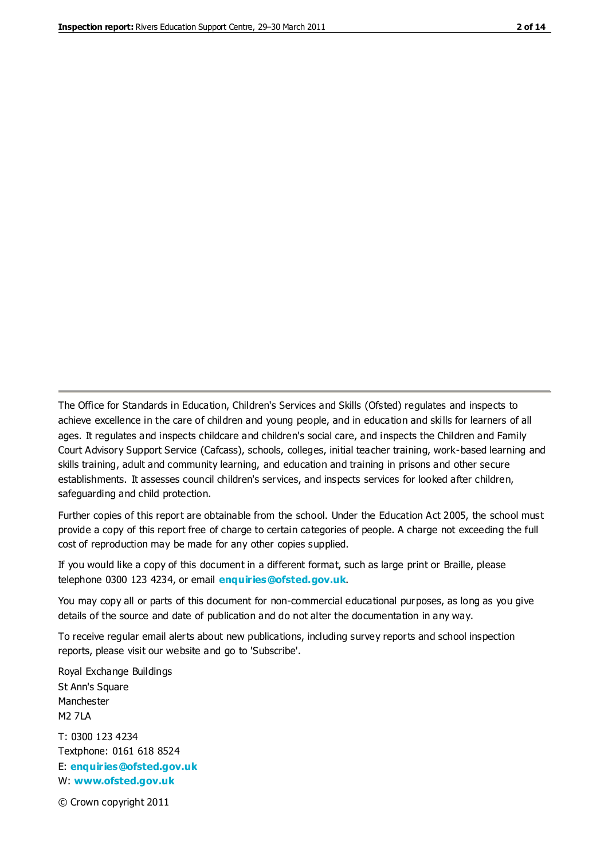The Office for Standards in Education, Children's Services and Skills (Ofsted) regulates and inspects to achieve excellence in the care of children and young people, and in education and skills for learners of all ages. It regulates and inspects childcare and children's social care, and inspects the Children and Family Court Advisory Support Service (Cafcass), schools, colleges, initial teacher training, work-based learning and skills training, adult and community learning, and education and training in prisons and other secure establishments. It assesses council children's services, and inspects services for looked after children, safeguarding and child protection.

Further copies of this report are obtainable from the school. Under the Education Act 2005, the school must provide a copy of this report free of charge to certain categories of people. A charge not exceeding the full cost of reproduction may be made for any other copies supplied.

If you would like a copy of this document in a different format, such as large print or Braille, please telephone 0300 123 4234, or email **[enquiries@ofsted.gov.uk](mailto:enquiries@ofsted.gov.uk)**.

You may copy all or parts of this document for non-commercial educational purposes, as long as you give details of the source and date of publication and do not alter the documentation in any way.

To receive regular email alerts about new publications, including survey reports and school inspection reports, please visit our website and go to 'Subscribe'.

Royal Exchange Buildings St Ann's Square Manchester M2 7LA T: 0300 123 4234 Textphone: 0161 618 8524 E: **[enquiries@ofsted.gov.uk](mailto:enquiries@ofsted.gov.uk)**

W: **[www.ofsted.gov.uk](http://www.ofsted.gov.uk/)**

© Crown copyright 2011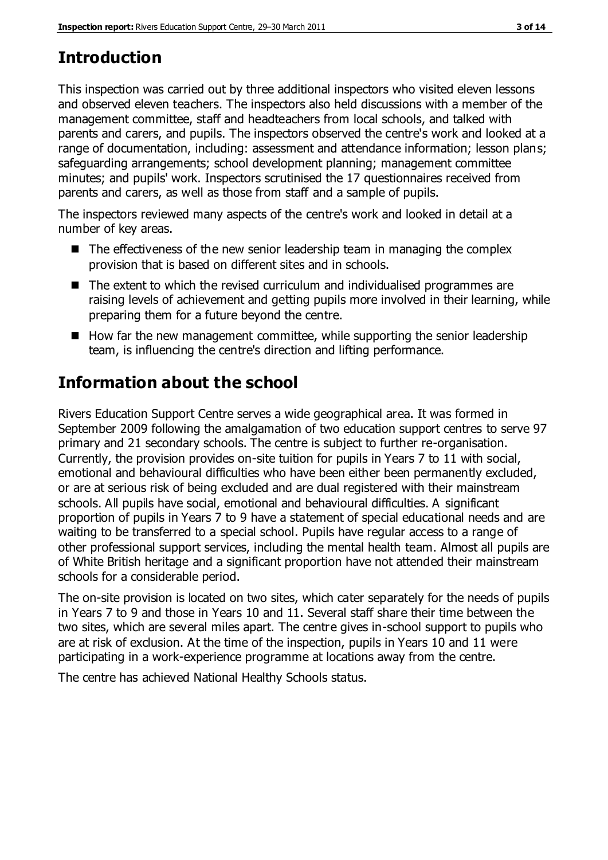# **Introduction**

This inspection was carried out by three additional inspectors who visited eleven lessons and observed eleven teachers. The inspectors also held discussions with a member of the management committee, staff and headteachers from local schools, and talked with parents and carers, and pupils. The inspectors observed the centre's work and looked at a range of documentation, including: assessment and attendance information; lesson plans; safeguarding arrangements; school development planning; management committee minutes; and pupils' work. Inspectors scrutinised the 17 questionnaires received from parents and carers, as well as those from staff and a sample of pupils.

The inspectors reviewed many aspects of the centre's work and looked in detail at a number of key areas.

- $\blacksquare$  The effectiveness of the new senior leadership team in managing the complex provision that is based on different sites and in schools.
- The extent to which the revised curriculum and individualised programmes are raising levels of achievement and getting pupils more involved in their learning, while preparing them for a future beyond the centre.
- $\blacksquare$  How far the new management committee, while supporting the senior leadership team, is influencing the centre's direction and lifting performance.

# **Information about the school**

Rivers Education Support Centre serves a wide geographical area. It was formed in September 2009 following the amalgamation of two education support centres to serve 97 primary and 21 secondary schools. The centre is subject to further re-organisation. Currently, the provision provides on-site tuition for pupils in Years 7 to 11 with social, emotional and behavioural difficulties who have been either been permanently excluded, or are at serious risk of being excluded and are dual registered with their mainstream schools. All pupils have social, emotional and behavioural difficulties. A significant proportion of pupils in Years 7 to 9 have a statement of special educational needs and are waiting to be transferred to a special school. Pupils have regular access to a range of other professional support services, including the mental health team. Almost all pupils are of White British heritage and a significant proportion have not attended their mainstream schools for a considerable period.

The on-site provision is located on two sites, which cater separately for the needs of pupils in Years 7 to 9 and those in Years 10 and 11. Several staff share their time between the two sites, which are several miles apart. The centre gives in-school support to pupils who are at risk of exclusion. At the time of the inspection, pupils in Years 10 and 11 were participating in a work-experience programme at locations away from the centre.

The centre has achieved National Healthy Schools status.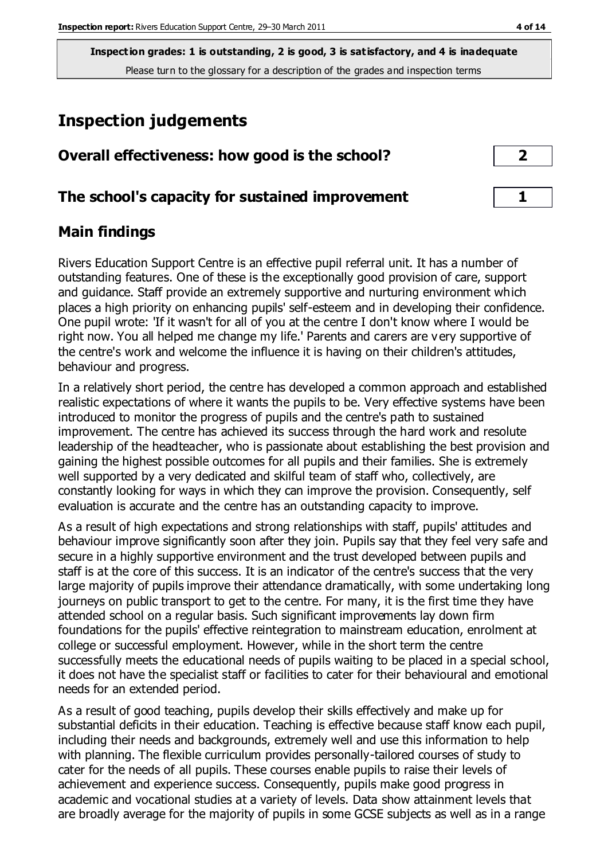# **Inspection judgements**

| Overall effectiveness: how good is the school?  |  |
|-------------------------------------------------|--|
| The school's capacity for sustained improvement |  |

## **Main findings**

Rivers Education Support Centre is an effective pupil referral unit. It has a number of outstanding features. One of these is the exceptionally good provision of care, support and guidance. Staff provide an extremely supportive and nurturing environment which places a high priority on enhancing pupils' self-esteem and in developing their confidence. One pupil wrote: 'If it wasn't for all of you at the centre I don't know where I would be right now. You all helped me change my life.' Parents and carers are very supportive of the centre's work and welcome the influence it is having on their children's attitudes, behaviour and progress.

In a relatively short period, the centre has developed a common approach and established realistic expectations of where it wants the pupils to be. Very effective systems have been introduced to monitor the progress of pupils and the centre's path to sustained improvement. The centre has achieved its success through the hard work and resolute leadership of the headteacher, who is passionate about establishing the best provision and gaining the highest possible outcomes for all pupils and their families. She is extremely well supported by a very dedicated and skilful team of staff who, collectively, are constantly looking for ways in which they can improve the provision. Consequently, self evaluation is accurate and the centre has an outstanding capacity to improve.

As a result of high expectations and strong relationships with staff, pupils' attitudes and behaviour improve significantly soon after they join. Pupils say that they feel very safe and secure in a highly supportive environment and the trust developed between pupils and staff is at the core of this success. It is an indicator of the centre's success that the very large majority of pupils improve their attendance dramatically, with some undertaking long journeys on public transport to get to the centre. For many, it is the first time they have attended school on a regular basis. Such significant improvements lay down firm foundations for the pupils' effective reintegration to mainstream education, enrolment at college or successful employment. However, while in the short term the centre successfully meets the educational needs of pupils waiting to be placed in a special school, it does not have the specialist staff or facilities to cater for their behavioural and emotional needs for an extended period.

As a result of good teaching, pupils develop their skills effectively and make up for substantial deficits in their education. Teaching is effective because staff know each pupil, including their needs and backgrounds, extremely well and use this information to help with planning. The flexible curriculum provides personally-tailored courses of study to cater for the needs of all pupils. These courses enable pupils to raise their levels of achievement and experience success. Consequently, pupils make good progress in academic and vocational studies at a variety of levels. Data show attainment levels that are broadly average for the majority of pupils in some GCSE subjects as well as in a range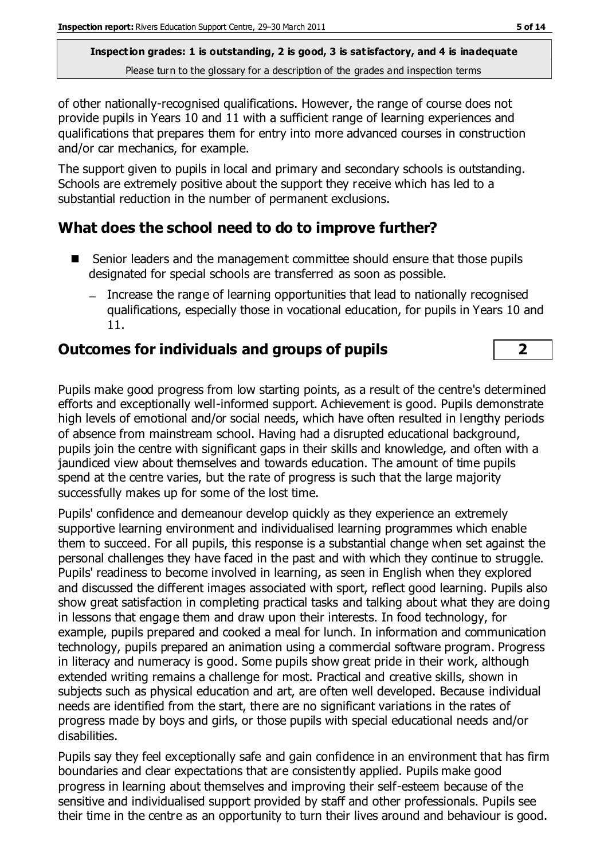of other nationally-recognised qualifications. However, the range of course does not provide pupils in Years 10 and 11 with a sufficient range of learning experiences and qualifications that prepares them for entry into more advanced courses in construction and/or car mechanics, for example.

The support given to pupils in local and primary and secondary schools is outstanding. Schools are extremely positive about the support they receive which has led to a substantial reduction in the number of permanent exclusions.

## **What does the school need to do to improve further?**

- Senior leaders and the management committee should ensure that those pupils designated for special schools are transferred as soon as possible.
	- Increase the range of learning opportunities that lead to nationally recognised qualifications, especially those in vocational education, for pupils in Years 10 and 11.

## **Outcomes for individuals and groups of pupils 2**

Pupils make good progress from low starting points, as a result of the centre's determined efforts and exceptionally well-informed support. Achievement is good. Pupils demonstrate high levels of emotional and/or social needs, which have often resulted in lengthy periods of absence from mainstream school. Having had a disrupted educational background, pupils join the centre with significant gaps in their skills and knowledge, and often with a jaundiced view about themselves and towards education. The amount of time pupils spend at the centre varies, but the rate of progress is such that the large majority successfully makes up for some of the lost time.

Pupils' confidence and demeanour develop quickly as they experience an extremely supportive learning environment and individualised learning programmes which enable them to succeed. For all pupils, this response is a substantial change when set against the personal challenges they have faced in the past and with which they continue to struggle. Pupils' readiness to become involved in learning, as seen in English when they explored and discussed the different images associated with sport, reflect good learning. Pupils also show great satisfaction in completing practical tasks and talking about what they are doing in lessons that engage them and draw upon their interests. In food technology, for example, pupils prepared and cooked a meal for lunch. In information and communication technology, pupils prepared an animation using a commercial software program. Progress in literacy and numeracy is good. Some pupils show great pride in their work, although extended writing remains a challenge for most. Practical and creative skills, shown in subjects such as physical education and art, are often well developed. Because individual needs are identified from the start, there are no significant variations in the rates of progress made by boys and girls, or those pupils with special educational needs and/or disabilities.

Pupils say they feel exceptionally safe and gain confidence in an environment that has firm boundaries and clear expectations that are consistently applied. Pupils make good progress in learning about themselves and improving their self-esteem because of the sensitive and individualised support provided by staff and other professionals. Pupils see their time in the centre as an opportunity to turn their lives around and behaviour is good.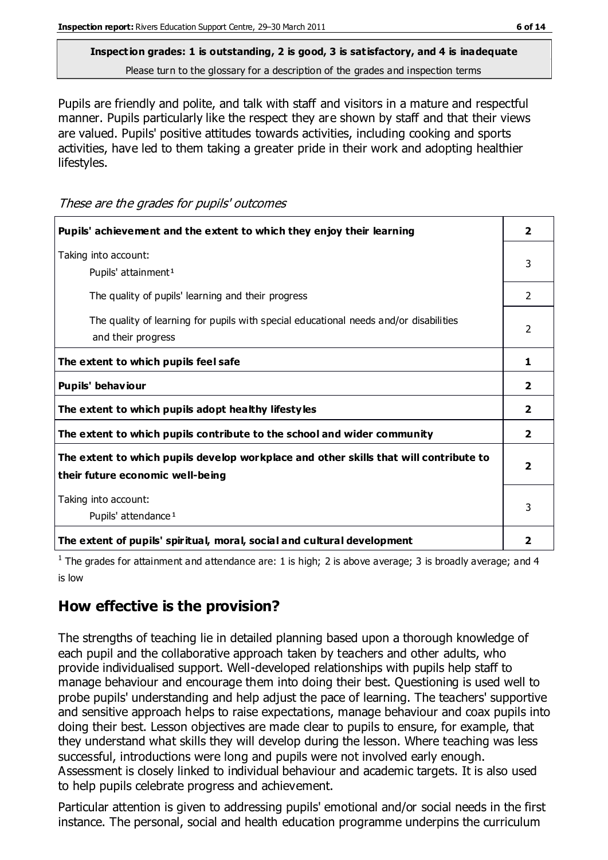Pupils are friendly and polite, and talk with staff and visitors in a mature and respectful manner. Pupils particularly like the respect they are shown by staff and that their views are valued. Pupils' positive attitudes towards activities, including cooking and sports activities, have led to them taking a greater pride in their work and adopting healthier lifestyles.

These are the grades for pupils' outcomes

| Pupils' achievement and the extent to which they enjoy their learning                                                     | $\overline{2}$          |
|---------------------------------------------------------------------------------------------------------------------------|-------------------------|
| Taking into account:<br>Pupils' attainment <sup>1</sup>                                                                   | 3                       |
| The quality of pupils' learning and their progress                                                                        | $\mathcal{P}$           |
| The quality of learning for pupils with special educational needs and/or disabilities<br>and their progress               | $\mathcal{P}$           |
| The extent to which pupils feel safe                                                                                      | 1.                      |
| Pupils' behaviour                                                                                                         | $\overline{2}$          |
| The extent to which pupils adopt healthy lifestyles                                                                       | 2                       |
| The extent to which pupils contribute to the school and wider community                                                   | $\overline{2}$          |
| The extent to which pupils develop workplace and other skills that will contribute to<br>their future economic well-being | $\overline{\mathbf{2}}$ |
| Taking into account:<br>Pupils' attendance <sup>1</sup>                                                                   | 3                       |
| The extent of pupils' spiritual, moral, social and cultural development                                                   | 2                       |

<sup>1</sup> The grades for attainment and attendance are: 1 is high; 2 is above average; 3 is broadly average; and 4 is low

## **How effective is the provision?**

The strengths of teaching lie in detailed planning based upon a thorough knowledge of each pupil and the collaborative approach taken by teachers and other adults, who provide individualised support. Well-developed relationships with pupils help staff to manage behaviour and encourage them into doing their best. Questioning is used well to probe pupils' understanding and help adjust the pace of learning. The teachers' supportive and sensitive approach helps to raise expectations, manage behaviour and coax pupils into doing their best. Lesson objectives are made clear to pupils to ensure, for example, that they understand what skills they will develop during the lesson. Where teaching was less successful, introductions were long and pupils were not involved early enough. Assessment is closely linked to individual behaviour and academic targets. It is also used to help pupils celebrate progress and achievement.

Particular attention is given to addressing pupils' emotional and/or social needs in the first instance. The personal, social and health education programme underpins the curriculum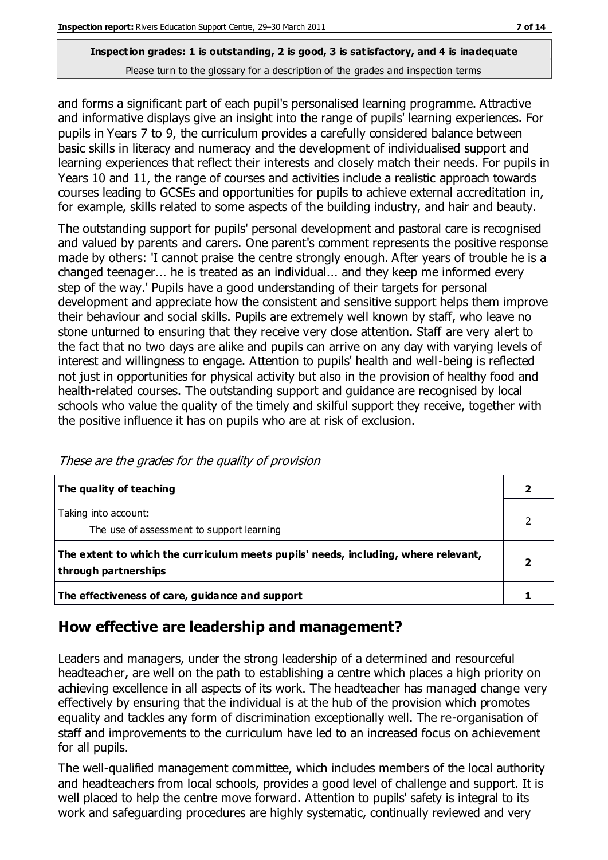and forms a significant part of each pupil's personalised learning programme. Attractive and informative displays give an insight into the range of pupils' learning experiences. For pupils in Years 7 to 9, the curriculum provides a carefully considered balance between basic skills in literacy and numeracy and the development of individualised support and learning experiences that reflect their interests and closely match their needs. For pupils in Years 10 and 11, the range of courses and activities include a realistic approach towards courses leading to GCSEs and opportunities for pupils to achieve external accreditation in, for example, skills related to some aspects of the building industry, and hair and beauty.

The outstanding support for pupils' personal development and pastoral care is recognised and valued by parents and carers. One parent's comment represents the positive response made by others: 'I cannot praise the centre strongly enough. After years of trouble he is a changed teenager... he is treated as an individual... and they keep me informed every step of the way.' Pupils have a good understanding of their targets for personal development and appreciate how the consistent and sensitive support helps them improve their behaviour and social skills. Pupils are extremely well known by staff, who leave no stone unturned to ensuring that they receive very close attention. Staff are very alert to the fact that no two days are alike and pupils can arrive on any day with varying levels of interest and willingness to engage. Attention to pupils' health and well-being is reflected not just in opportunities for physical activity but also in the provision of healthy food and health-related courses. The outstanding support and guidance are recognised by local schools who value the quality of the timely and skilful support they receive, together with the positive influence it has on pupils who are at risk of exclusion.

| The quality of teaching                                                                                    |  |
|------------------------------------------------------------------------------------------------------------|--|
| Taking into account:<br>The use of assessment to support learning                                          |  |
| The extent to which the curriculum meets pupils' needs, including, where relevant,<br>through partnerships |  |
| The effectiveness of care, guidance and support                                                            |  |

These are the grades for the quality of provision

## **How effective are leadership and management?**

Leaders and managers, under the strong leadership of a determined and resourceful headteacher, are well on the path to establishing a centre which places a high priority on achieving excellence in all aspects of its work. The headteacher has managed change very effectively by ensuring that the individual is at the hub of the provision which promotes equality and tackles any form of discrimination exceptionally well. The re-organisation of staff and improvements to the curriculum have led to an increased focus on achievement for all pupils.

The well-qualified management committee, which includes members of the local authority and headteachers from local schools, provides a good level of challenge and support. It is well placed to help the centre move forward. Attention to pupils' safety is integral to its work and safeguarding procedures are highly systematic, continually reviewed and very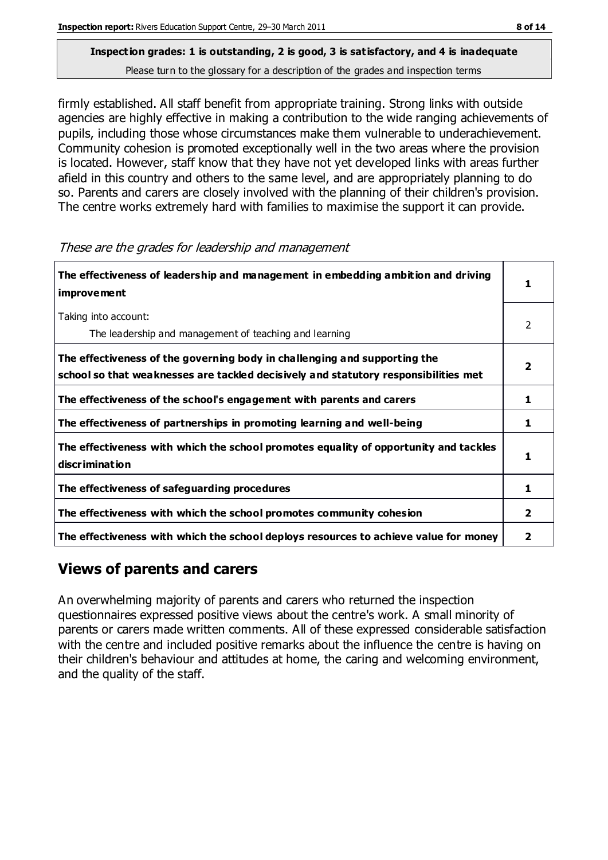firmly established. All staff benefit from appropriate training. Strong links with outside agencies are highly effective in making a contribution to the wide ranging achievements of pupils, including those whose circumstances make them vulnerable to underachievement. Community cohesion is promoted exceptionally well in the two areas where the provision is located. However, staff know that they have not yet developed links with areas further afield in this country and others to the same level, and are appropriately planning to do so. Parents and carers are closely involved with the planning of their children's provision. The centre works extremely hard with families to maximise the support it can provide.

| The effectiveness of leadership and management in embedding ambition and driving<br>improvement                                                                  |   |
|------------------------------------------------------------------------------------------------------------------------------------------------------------------|---|
| Taking into account:<br>The leadership and management of teaching and learning                                                                                   | 2 |
| The effectiveness of the governing body in challenging and supporting the<br>school so that weaknesses are tackled decisively and statutory responsibilities met |   |
| The effectiveness of the school's engagement with parents and carers                                                                                             | 1 |
| The effectiveness of partnerships in promoting learning and well-being                                                                                           | 1 |
| The effectiveness with which the school promotes equality of opportunity and tackles<br><b>discrimination</b>                                                    |   |
| The effectiveness of safeguarding procedures                                                                                                                     | 1 |
| The effectiveness with which the school promotes community cohesion                                                                                              | 2 |
| The effectiveness with which the school deploys resources to achieve value for money                                                                             | 2 |

These are the grades for leadership and management

# **Views of parents and carers**

An overwhelming majority of parents and carers who returned the inspection questionnaires expressed positive views about the centre's work. A small minority of parents or carers made written comments. All of these expressed considerable satisfaction with the centre and included positive remarks about the influence the centre is having on their children's behaviour and attitudes at home, the caring and welcoming environment, and the quality of the staff.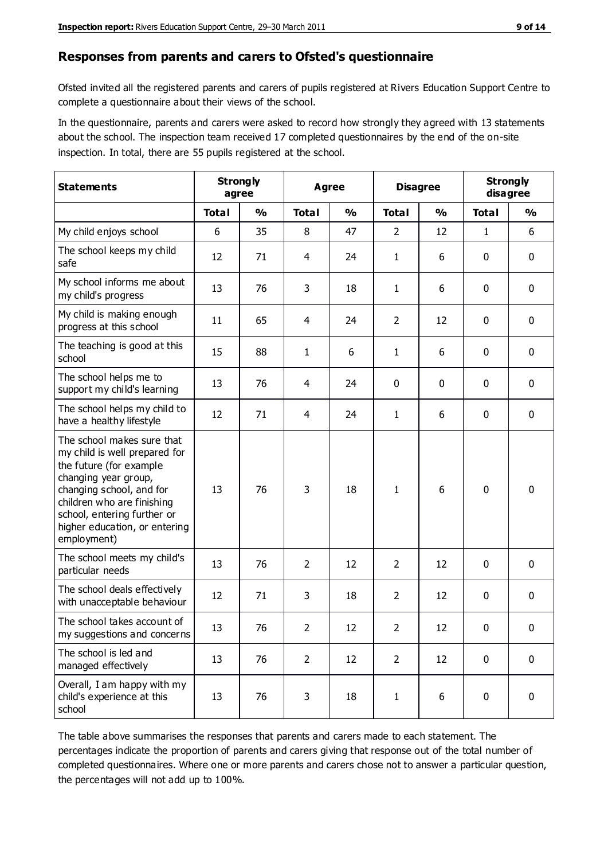#### **Responses from parents and carers to Ofsted's questionnaire**

Ofsted invited all the registered parents and carers of pupils registered at Rivers Education Support Centre to complete a questionnaire about their views of the school.

In the questionnaire, parents and carers were asked to record how strongly they agreed with 13 statements about the school. The inspection team received 17 completed questionnaires by the end of the on-site inspection. In total, there are 55 pupils registered at the school.

| <b>Statements</b>                                                                                                                                                                                                                                       | <b>Strongly</b><br>agree |               | Agree          |               | <b>Disagree</b> |               | <b>Strongly</b><br>disagree |               |
|---------------------------------------------------------------------------------------------------------------------------------------------------------------------------------------------------------------------------------------------------------|--------------------------|---------------|----------------|---------------|-----------------|---------------|-----------------------------|---------------|
|                                                                                                                                                                                                                                                         | <b>Total</b>             | $\frac{0}{0}$ | <b>Total</b>   | $\frac{0}{0}$ | <b>Total</b>    | $\frac{0}{0}$ | <b>Total</b>                | $\frac{0}{0}$ |
| My child enjoys school                                                                                                                                                                                                                                  | 6                        | 35            | 8              | 47            | 2               | 12            | $\mathbf{1}$                | 6             |
| The school keeps my child<br>safe                                                                                                                                                                                                                       | 12                       | 71            | $\overline{4}$ | 24            | 1               | 6             | $\mathbf 0$                 | $\mathbf 0$   |
| My school informs me about<br>my child's progress                                                                                                                                                                                                       | 13                       | 76            | 3              | 18            | 1               | 6             | $\mathbf 0$                 | $\mathbf 0$   |
| My child is making enough<br>progress at this school                                                                                                                                                                                                    | 11                       | 65            | 4              | 24            | $\overline{2}$  | 12            | 0                           | $\mathbf 0$   |
| The teaching is good at this<br>school                                                                                                                                                                                                                  | 15                       | 88            | $\mathbf{1}$   | 6             | 1               | 6             | $\mathbf 0$                 | $\mathbf 0$   |
| The school helps me to<br>support my child's learning                                                                                                                                                                                                   | 13                       | 76            | $\overline{4}$ | 24            | 0               | 0             | $\mathbf 0$                 | $\mathbf 0$   |
| The school helps my child to<br>have a healthy lifestyle                                                                                                                                                                                                | 12                       | 71            | $\overline{4}$ | 24            | $\mathbf{1}$    | 6             | $\mathbf 0$                 | $\mathbf 0$   |
| The school makes sure that<br>my child is well prepared for<br>the future (for example<br>changing year group,<br>changing school, and for<br>children who are finishing<br>school, entering further or<br>higher education, or entering<br>employment) | 13                       | 76            | 3              | 18            | 1               | 6             | $\mathbf 0$                 | $\mathbf 0$   |
| The school meets my child's<br>particular needs                                                                                                                                                                                                         | 13                       | 76            | $\overline{2}$ | 12            | $\overline{2}$  | 12            | $\mathbf 0$                 | $\mathbf 0$   |
| The school deals effectively<br>with unacceptable behaviour                                                                                                                                                                                             | 12                       | 71            | 3              | 18            | $\overline{2}$  | 12            | 0                           | 0             |
| The school takes account of<br>my suggestions and concerns                                                                                                                                                                                              | 13                       | 76            | $\overline{2}$ | 12            | $\overline{2}$  | 12            | 0                           | 0             |
| The school is led and<br>managed effectively                                                                                                                                                                                                            | 13                       | 76            | $\overline{2}$ | 12            | $\overline{2}$  | 12            | $\mathbf 0$                 | $\mathbf 0$   |
| Overall, I am happy with my<br>child's experience at this<br>school                                                                                                                                                                                     | 13                       | 76            | 3              | 18            | $\mathbf 1$     | 6             | $\mathbf 0$                 | $\mathbf 0$   |

The table above summarises the responses that parents and carers made to each statement. The percentages indicate the proportion of parents and carers giving that response out of the total number of completed questionnaires. Where one or more parents and carers chose not to answer a particular question, the percentages will not add up to 100%.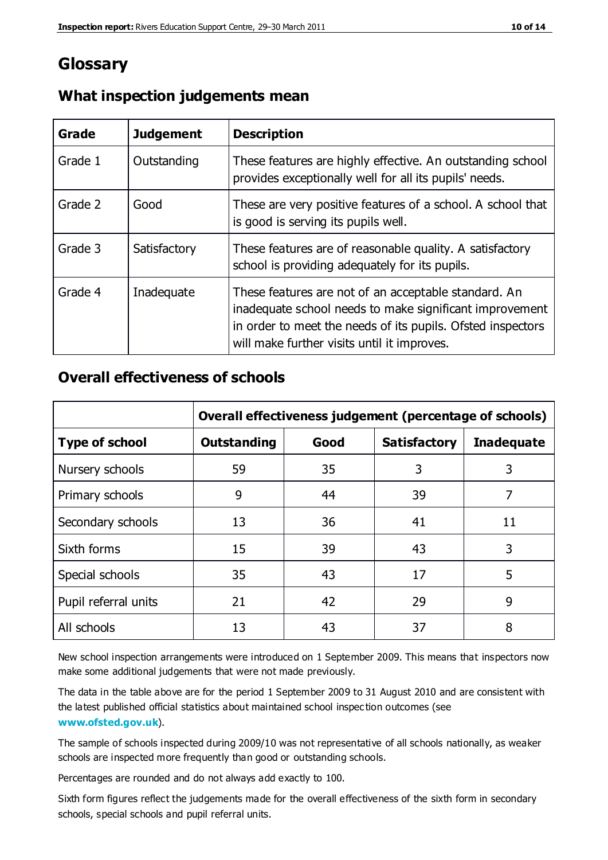# **Glossary**

| Grade   | <b>Judgement</b> | <b>Description</b>                                                                                                                                                                                                            |
|---------|------------------|-------------------------------------------------------------------------------------------------------------------------------------------------------------------------------------------------------------------------------|
| Grade 1 | Outstanding      | These features are highly effective. An outstanding school<br>provides exceptionally well for all its pupils' needs.                                                                                                          |
| Grade 2 | Good             | These are very positive features of a school. A school that<br>is good is serving its pupils well.                                                                                                                            |
| Grade 3 | Satisfactory     | These features are of reasonable quality. A satisfactory<br>school is providing adequately for its pupils.                                                                                                                    |
| Grade 4 | Inadequate       | These features are not of an acceptable standard. An<br>inadequate school needs to make significant improvement<br>in order to meet the needs of its pupils. Ofsted inspectors<br>will make further visits until it improves. |

#### **What inspection judgements mean**

## **Overall effectiveness of schools**

|                       | Overall effectiveness judgement (percentage of schools) |      |                     |                   |
|-----------------------|---------------------------------------------------------|------|---------------------|-------------------|
| <b>Type of school</b> | <b>Outstanding</b>                                      | Good | <b>Satisfactory</b> | <b>Inadequate</b> |
| Nursery schools       | 59                                                      | 35   | 3                   | 3                 |
| Primary schools       | 9                                                       | 44   | 39                  | 7                 |
| Secondary schools     | 13                                                      | 36   | 41                  | 11                |
| Sixth forms           | 15                                                      | 39   | 43                  | 3                 |
| Special schools       | 35                                                      | 43   | 17                  | 5                 |
| Pupil referral units  | 21                                                      | 42   | 29                  | 9                 |
| All schools           | 13                                                      | 43   | 37                  | 8                 |

New school inspection arrangements were introduced on 1 September 2009. This means that inspectors now make some additional judgements that were not made previously.

The data in the table above are for the period 1 September 2009 to 31 August 2010 and are consistent with the latest published official statistics about maintained school inspec tion outcomes (see **[www.ofsted.gov.uk](http://www.ofsted.gov.uk/)**).

The sample of schools inspected during 2009/10 was not representative of all schools nationally, as weaker schools are inspected more frequently than good or outstanding schools.

Percentages are rounded and do not always add exactly to 100.

Sixth form figures reflect the judgements made for the overall effectiveness of the sixth form in secondary schools, special schools and pupil referral units.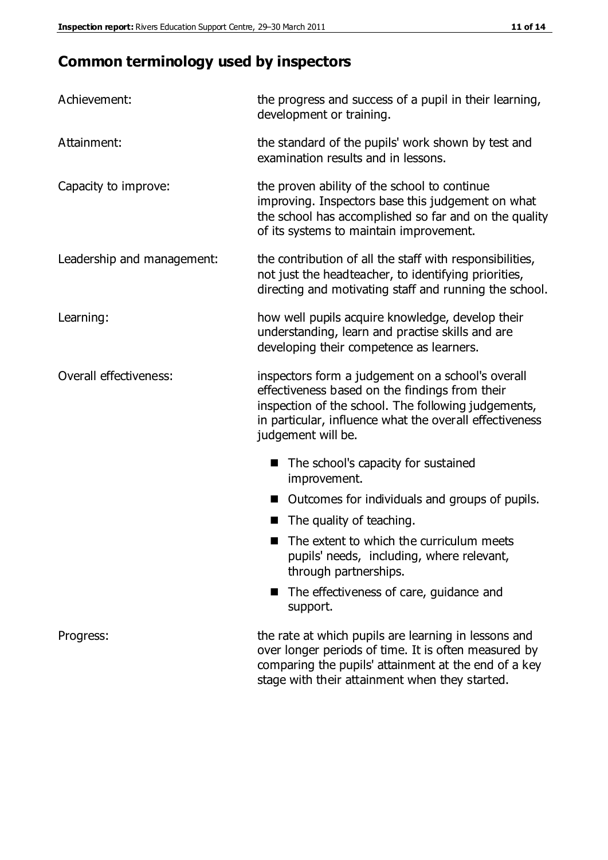# **Common terminology used by inspectors**

| Achievement:                  | the progress and success of a pupil in their learning,<br>development or training.                                                                                                                                                          |  |  |
|-------------------------------|---------------------------------------------------------------------------------------------------------------------------------------------------------------------------------------------------------------------------------------------|--|--|
| Attainment:                   | the standard of the pupils' work shown by test and<br>examination results and in lessons.                                                                                                                                                   |  |  |
| Capacity to improve:          | the proven ability of the school to continue<br>improving. Inspectors base this judgement on what<br>the school has accomplished so far and on the quality<br>of its systems to maintain improvement.                                       |  |  |
| Leadership and management:    | the contribution of all the staff with responsibilities,<br>not just the headteacher, to identifying priorities,<br>directing and motivating staff and running the school.                                                                  |  |  |
| Learning:                     | how well pupils acquire knowledge, develop their<br>understanding, learn and practise skills and are<br>developing their competence as learners.                                                                                            |  |  |
| <b>Overall effectiveness:</b> | inspectors form a judgement on a school's overall<br>effectiveness based on the findings from their<br>inspection of the school. The following judgements,<br>in particular, influence what the overall effectiveness<br>judgement will be. |  |  |
|                               | The school's capacity for sustained<br>improvement.                                                                                                                                                                                         |  |  |
|                               | Outcomes for individuals and groups of pupils.                                                                                                                                                                                              |  |  |
|                               | The quality of teaching.                                                                                                                                                                                                                    |  |  |
|                               | The extent to which the curriculum meets<br>pupils' needs, including, where relevant,<br>through partnerships.                                                                                                                              |  |  |
|                               | The effectiveness of care, guidance and<br>support.                                                                                                                                                                                         |  |  |
| Progress:                     | the rate at which pupils are learning in lessons and<br>over longer periods of time. It is often measured by<br>comparing the pupils' attainment at the end of a key                                                                        |  |  |

stage with their attainment when they started.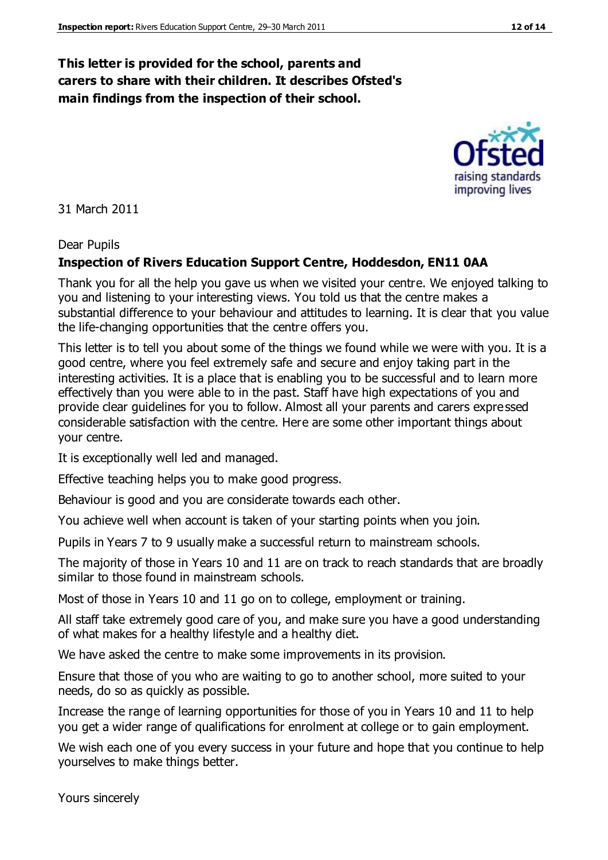#### **This letter is provided for the school, parents and carers to share with their children. It describes Ofsted's main findings from the inspection of their school.**

31 March 2011

#### Dear Pupils

#### **Inspection of Rivers Education Support Centre, Hoddesdon, EN11 0AA**

Thank you for all the help you gave us when we visited your centre. We enjoyed talking to you and listening to your interesting views. You told us that the centre makes a substantial difference to your behaviour and attitudes to learning. It is clear that you value the life-changing opportunities that the centre offers you.

This letter is to tell you about some of the things we found while we were with you. It is a good centre, where you feel extremely safe and secure and enjoy taking part in the interesting activities. It is a place that is enabling you to be successful and to learn more effectively than you were able to in the past. Staff have high expectations of you and provide clear guidelines for you to follow. Almost all your parents and carers expressed considerable satisfaction with the centre. Here are some other important things about your centre.

It is exceptionally well led and managed.

Effective teaching helps you to make good progress.

Behaviour is good and you are considerate towards each other.

You achieve well when account is taken of your starting points when you join.

Pupils in Years 7 to 9 usually make a successful return to mainstream schools.

The majority of those in Years 10 and 11 are on track to reach standards that are broadly similar to those found in mainstream schools.

Most of those in Years 10 and 11 go on to college, employment or training.

All staff take extremely good care of you, and make sure you have a good understanding of what makes for a healthy lifestyle and a healthy diet.

We have asked the centre to make some improvements in its provision.

Ensure that those of you who are waiting to go to another school, more suited to your needs, do so as quickly as possible.

Increase the range of learning opportunities for those of you in Years 10 and 11 to help you get a wider range of qualifications for enrolment at college or to gain employment.

We wish each one of you every success in your future and hope that you continue to help yourselves to make things better.

Yours sincerely

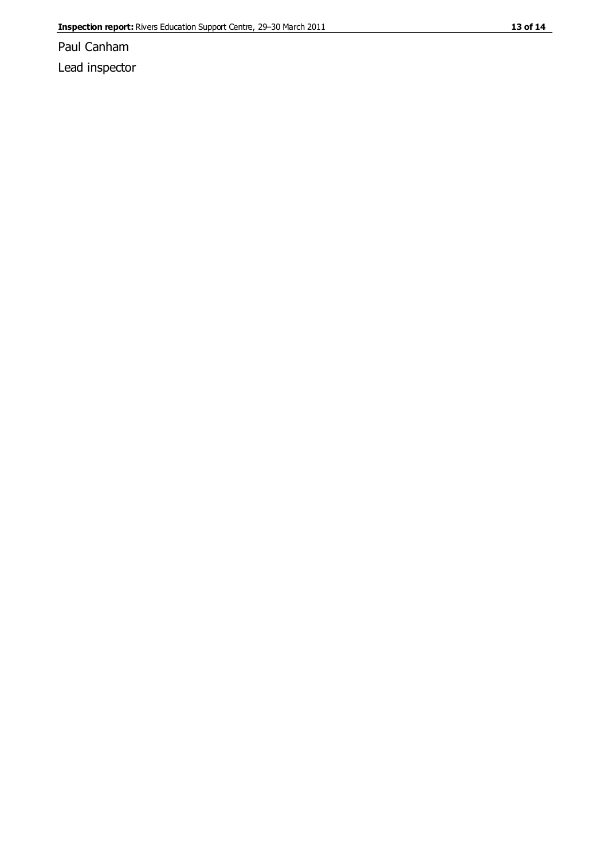Paul Canham Lead inspector